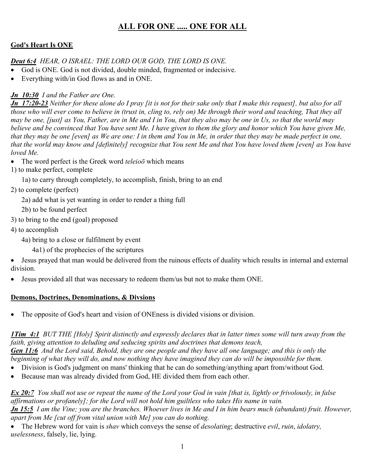# **ALL FOR ONE ..... ONE FOR ALL**

## **God's Heart Is ONE**

### *Deut 6:4 HEAR, O ISRAEL: THE LORD OUR GOD, THE LORD IS ONE.*

- God is ONE. God is not divided, double minded, fragmented or indecisive.
- Everything with/in God flows as and in ONE.

## *Jn\_10:30 I and the Father are One.*

*Jn\_17:20-23 Neither for these alone do I pray [it is not for their sake only that I make this request], but also for all those who will ever come to believe in (trust in, cling to, rely on) Me through their word and teaching, That they all may be one, [just] as You, Father, are in Me and I in You, that they also may be one in Us, so that the world may*  believe and be convinced that You have sent Me. I have given to them the glory and honor which You have given Me, *that they may be one [even] as We are one: I in them and You in Me, in order that they may be made perfect in one, that the world may know and [definitely] recognize that You sent Me and that You have loved them [even] as You have loved Me.*

- The word perfect is the Greek word *teleioō* which means
- 1) to make perfect, complete
	- 1a) to carry through completely, to accomplish, finish, bring to an end
- 2) to complete (perfect)
	- 2a) add what is yet wanting in order to render a thing full
	- 2b) to be found perfect
- 3) to bring to the end (goal) proposed
- 4) to accomplish
	- 4a) bring to a close or fulfilment by event
		- 4a1) of the prophecies of the scriptures
- Jesus prayed that man would be delivered from the ruinous effects of duality which results in internal and external division.
- Jesus provided all that was necessary to redeem them/us but not to make them ONE.

### **Demons, Doctrines, Denominations, & Divsions**

The opposite of God's heart and vision of ONEness is divided visions or division.

*1Tim\_4:1 BUT THE [Holy] Spirit distinctly and expressly declares that in latter times some will turn away from the faith, giving attention to deluding and seducing spirits and doctrines that demons teach,* 

*Gen 11:6 And the Lord said, Behold, they are one people and they have all one language; and this is only the beginning of what they will do, and now nothing they have imagined they can do will be impossible for them.* 

- Division is God's judgment on mans' thinking that he can do something/anything apart from/without God.
- Because man was already divided from God, HE divided them from each other.

*Ex 20:7 You shall not use or repeat the name of the Lord your God in vain [that is, lightly or frivolously, in false affirmations or profanely]; for the Lord will not hold him guiltless who takes His name in vain. Jn 15:5 I am the Vine; you are the branches. Whoever lives in Me and I in him bears much (abundant) fruit. However, apart from Me [cut off from vital union with Me] you can do nothing.* 

• The Hebrew word for vain is *shav* which conveys the sense of *desolating*; destructive *evil*, *ruin*, *idolatry, uselessness*, falsely, lie, lying.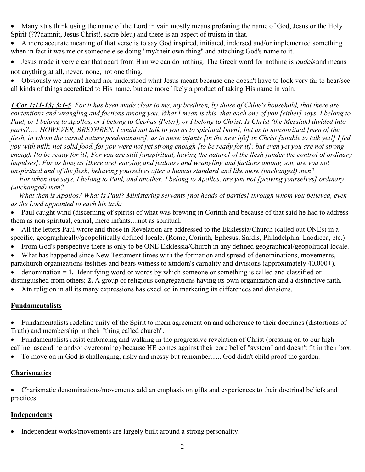- Many xtns think using the name of the Lord in vain mostly means profaning the name of God, Jesus or the Holy Spirit (???damnit, Jesus Christ!, sacre bleu) and there is an aspect of truism in that.
- A more accurate meaning of that verse is to say God inspired, initiated, indorsed and/or implemented something when in fact it was me or someone else doing "my/their own thing" and attaching God's name to it.
- Jesus made it very clear that apart from Him we can do nothing. The Greek word for nothing is *oudeis* and means
- not anything at all, never, none, not one thing.

• Obviously we haven't heard nor understood what Jesus meant because one doesn't have to look very far to hear/see all kinds of things accredited to His name, but are more likely a product of taking His name in vain.

*1 Cor 1:11-13; 3:1-5 For it has been made clear to me, my brethren, by those of Chloe's household, that there are contentions and wrangling and factions among you. What I mean is this, that each one of you [either] says, I belong to Paul, or I belong to Apollos, or I belong to Cephas (Peter), or I belong to Christ. Is Christ (the Messiah) divided into parts?..... HOWEVER, BRETHREN, I could not talk to you as to spiritual [men], but as to nonspiritual [men of the flesh, in whom the carnal nature predominates], as to mere infants [in the new life] in Christ [unable to talk yet!] I fed you with milk, not solid food, for you were not yet strong enough [to be ready for it]; but even yet you are not strong enough [to be ready for it], For you are still [unspiritual, having the nature] of the flesh [under the control of ordinary impulses]. For as long as [there are] envying and jealousy and wrangling and factions among you, are you not unspiritual and of the flesh, behaving yourselves after a human standard and like mere (unchanged) men?* 

 *For when one says, I belong to Paul, and another, I belong to Apollos, are you not [proving yourselves] ordinary (unchanged) men?* 

 *What then is Apollos? What is Paul? Ministering servants [not heads of parties] through whom you believed, even as the Lord appointed to each his task:* 

- Paul caught wind (discerning of spirits) of what was brewing in Corinth and because of that said he had to address them as non spiritual, carnal, mere infants....not as spiritual.
- All the letters Paul wrote and those in Revelation are addressed to the Ekklessia/Church (called out ONEs) in a specific, geographically/geopolitically defined locale. (Rome, Corinth, Ephesus, Sardis, Philadelphia, Laodicea, etc.)
- From God's perspective there is only to be ONE Ekklessia/Church in any defined geographical/geopolitical locale.
- What has happened since New Testament times with the formation and spread of denominations, movements, parachurch organizations testifies and bears witness to xtndom's carnality and divisions (approximately 40,000+).
- denomination = **1.** Identifying word or words by which someone or something is called and classified or distinguished from others; **2.** A group of religious congregations having its own organization and a distinctive faith.
- Xtn religion in all its many expressions has excelled in marketing its differences and divisions.

### **Fundamentalists**

• Fundamentalists redefine unity of the Spirit to mean agreement on and adherence to their doctrines (distortions of Truth) and membership in their "thing called church".

• Fundamentalists resist embracing and walking in the progressive revelation of Christ (pressing on to our high calling, ascending and/or overcoming) because HE comes against their core belief "system" and doesn't fit in their box.

• To move on in God is challenging, risky and messy but remember.......God didn't child proof the garden.

### **Charismatics**

• Charismatic denominations/movements add an emphasis on gifts and experiences to their doctrinal beliefs and practices.

### **Independents**

• Independent works/movements are largely built around a strong personality.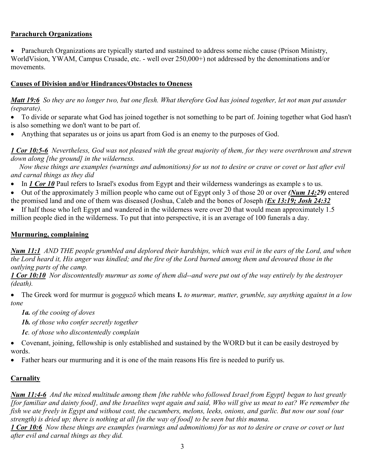#### **Parachurch Organizations**

• Parachurch Organizations are typically started and sustained to address some niche cause (Prison Ministry, WorldVision, YWAM, Campus Crusade, etc. - well over 250,000+) not addressed by the denominations and/or movements.

#### **Causes of Division and/or Hindrances/Obstacles to Oneness**

*Matt 19:6 So they are no longer two, but one flesh. What therefore God has joined together, let not man put asunder (separate).* 

• To divide or separate what God has joined together is not something to be part of. Joining together what God hasn't is also something we don't want to be part of.

• Anything that separates us or joins us apart from God is an enemy to the purposes of God.

*1 Cor 10:5-6 Nevertheless, God was not pleased with the great majority of them, for they were overthrown and strewn down along [the ground] in the wilderness.* 

 *Now these things are examples (warnings and admonitions) for us not to desire or crave or covet or lust after evil and carnal things as they did* 

• In *1 Cor 10* Paul refers to Israel's exodus from Egypt and their wilderness wanderings as example s to us.

• Out of the approximately 3 million people who came out of Egypt only 3 of those 20 or over *(Num 14:29)* entered the promised land and one of them was diseased (Joshua, Caleb and the bones of Joseph *(Ex 13:19; Josh 24:32*

• If half those who left Egypt and wandered in the wilderness were over 20 that would mean approximately 1.5 million people died in the wilderness. To put that into perspective, it is an average of 100 funerals a day.

#### **Murmuring, complaining**

*Num 11:1 AND THE people grumbled and deplored their hardships, which was evil in the ears of the Lord, and when the Lord heard it, His anger was kindled; and the fire of the Lord burned among them and devoured those in the outlying parts of the camp.* 

*1 Cor 10:10 Nor discontentedly murmur as some of them did--and were put out of the way entirely by the destroyer (death).* 

• The Greek word for murmur is *gogguzō* which means **1***. to murmur, mutter, grumble, say anything against in a low tone* 

*1a. of the cooing of doves* 

*1b. of those who confer secretly together* 

*1c. of those who discontentedly complain* 

• Covenant, joining, fellowship is only established and sustained by the WORD but it can be easily destroyed by words.

• Father hears our murmuring and it is one of the main reasons His fire is needed to purify us.

#### **Carnality**

*Num 11:4-6 And the mixed multitude among them [the rabble who followed Israel from Egypt] began to lust greatly [for familiar and dainty food], and the Israelites wept again and said, Who will give us meat to eat? We remember the fish we ate freely in Egypt and without cost, the cucumbers, melons, leeks, onions, and garlic. But now our soul (our strength) is dried up; there is nothing at all [in the way of food] to be seen but this manna.* 

*1 Cor 10:6 Now these things are examples (warnings and admonitions) for us not to desire or crave or covet or lust after evil and carnal things as they did.*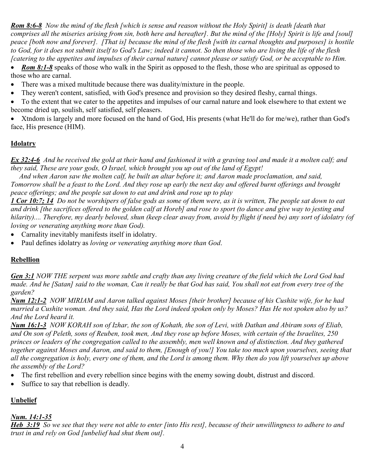*Rom 8:6-8 Now the mind of the flesh [which is sense and reason without the Holy Spirit] is death [death that comprises all the miseries arising from sin, both here and hereafter]. But the mind of the [Holy] Spirit is life and [soul] peace [both now and forever]. [That is] because the mind of the flesh [with its carnal thoughts and purposes] is hostile to God, for it does not submit itself to God's Law; indeed it cannot. So then those who are living the life of the flesh [catering to the appetites and impulses of their carnal nature] cannot please or satisfy God, or be acceptable to Him.* 

• *Rom 8:1-8* speaks of those who walk in the Spirit as opposed to the flesh, those who are spiritual as opposed to those who are carnal.

- There was a mixed multitude because there was duality/mixture in the people.
- They weren't content, satisfied, with God's presence and provision so they desired fleshy, carnal things.
- To the extent that we cater to the appetites and impulses of our carnal nature and look elsewhere to that extent we become dried up, soulish, self satisfied, self pleasers.

• Xtndom is largely and more focused on the hand of God, His presents (what He'll do for me/we), rather than God's face, His presence (HIM).

### **Idolatry**

*Ex 32:4-6 And he received the gold at their hand and fashioned it with a graving tool and made it a molten calf; and they said, These are your gods, O Israel, which brought you up out of the land of Egypt!* 

 *And when Aaron saw the molten calf, he built an altar before it; and Aaron made proclamation, and said, Tomorrow shall be a feast to the Lord. And they rose up early the next day and offered burnt offerings and brought peace offerings; and the people sat down to eat and drink and rose up to play* 

*1 Cor 10:7; 14 Do not be worshipers of false gods as some of them were, as it is written, The people sat down to eat and drink [the sacrifices offered to the golden calf at Horeb] and rose to sport (to dance and give way to jesting and hilarity).... Therefore, my dearly beloved, shun (keep clear away from, avoid by flight if need be) any sort of idolatry (of loving or venerating anything more than God).* 

- Carnality inevitably manifests itself in idolatry.
- Paul defines idolatry as *loving or venerating anything more than God*.

### **Rebellion**

*Gen 3:1 NOW THE serpent was more subtle and crafty than any living creature of the field which the Lord God had made. And he [Satan] said to the woman, Can it really be that God has said, You shall not eat from every tree of the garden?*

*Num 12:1-2 NOW MIRIAM and Aaron talked against Moses [their brother] because of his Cushite wife, for he had married a Cushite woman. And they said, Has the Lord indeed spoken only by Moses? Has He not spoken also by us? And the Lord heard it.* 

*Num 16:1-3 NOW KORAH son of Izhar, the son of Kohath, the son of Levi, with Dathan and Abiram sons of Eliab, and On son of Peleth, sons of Reuben, took men, And they rose up before Moses, with certain of the Israelites, 250 princes or leaders of the congregation called to the assembly, men well known and of distinction. And they gathered*  together against Moses and Aaron, and said to them, [Enough of you!] You take too much upon yourselves, seeing that *all the congregation is holy, every one of them, and the Lord is among them. Why then do you lift yourselves up above the assembly of the Lord?* 

- The first rebellion and every rebellion since begins with the enemy sowing doubt, distrust and discord.
- Suffice to say that rebellion is deadly.

### **Unbelief**

### *Num. 14:1-35*

*Heb\_3:19 So we see that they were not able to enter [into His rest], because of their unwillingness to adhere to and trust in and rely on God [unbelief had shut them out].*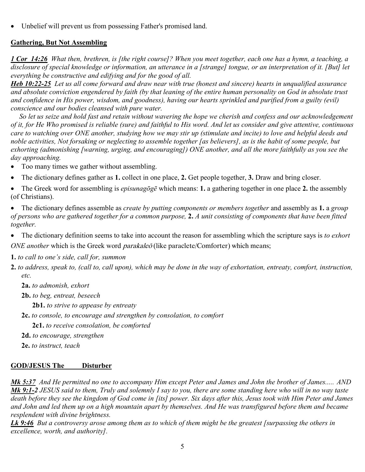• Unbelief will prevent us from possessing Father's promised land.

#### **Gathering, But Not Assembling**

*1 Cor\_14:26 What then, brethren, is [the right course]? When you meet together, each one has a hymn, a teaching, a disclosure of special knowledge or information, an utterance in a [strange] tongue, or an interpretation of it. [But] let everything be constructive and edifying and for the good of all.*

*Heb 10:22-25 Let us all come forward and draw near with true (honest and sincere) hearts in unqualified assurance and absolute conviction engendered by faith (by that leaning of the entire human personality on God in absolute trust and confidence in His power, wisdom, and goodness), having our hearts sprinkled and purified from a guilty (evil) conscience and our bodies cleansed with pure water.* 

 *So let us seize and hold fast and retain without wavering the hope we cherish and confess and our acknowledgement of it, for He Who promised is reliable (sure) and faithful to His word. And let us consider and give attentive, continuous care to watching over ONE another, studying how we may stir up (stimulate and incite) to love and helpful deeds and noble activities, Not forsaking or neglecting to assemble together [as believers], as is the habit of some people, but exhorting (admonishing [warning, urging, and encouraging]) ONE another, and all the more faithfully as you see the day approaching.* 

- Too many times we gather without assembling.
- The dictionary defines gather as **1.** collect in one place, **2.** Get people together, **3.** Draw and bring closer.
- The Greek word for assembling is *episunagōgē* which means: **1.** a gathering together in one place **2.** the assembly (of Christians).
- The dictionary defines assemble as *create by putting components or members together* and assembly as **1.** a *group of persons who are gathered together for a common purpose,* **2.** *A unit consisting of components that have been fitted together.*
- The dictionary definition seems to take into account the reason for assembling which the scripture says is *to exhort ONE another* which is the Greek word *parakaleō* (like paraclete/Comforter) which means;

**1.** *to call to one's side, call for, summon*

- **2.** *to address, speak to, (call to, call upon), which may be done in the way of exhortation, entreaty, comfort, instruction, etc.* 
	- **2a.** *to admonish, exhort*
	- **2b.** *to beg, entreat, beseech*

**2b1.** *to strive to appease by entreaty* 

**2c.** *to console, to encourage and strengthen by consolation, to comfort*  **2c1.** *to receive consolation, be comforted* 

**2d.** *to encourage, strengthen* 

**2e.** *to instruct, teach* 

#### **GOD/JESUS The\_\_\_\_\_Disturber**

*Mk 5:37 And He permitted no one to accompany Him except Peter and James and John the brother of James..... AND Mk 9:1-2 JESUS said to them, Truly and solemnly I say to you, there are some standing here who will in no way taste death before they see the kingdom of God come in [its] power. Six days after this, Jesus took with Him Peter and James and John and led them up on a high mountain apart by themselves. And He was transfigured before them and became resplendent with divine brightness.* 

*Lk 9:46 But a controversy arose among them as to which of them might be the greatest [surpassing the others in excellence, worth, and authority].*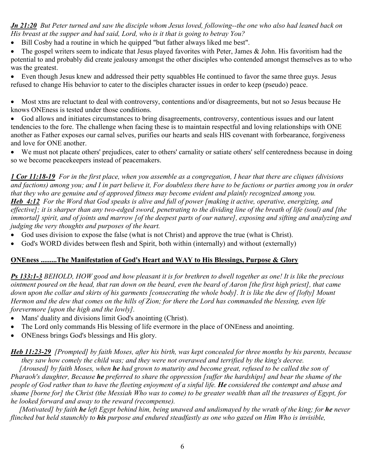*Jn 21:20 But Peter turned and saw the disciple whom Jesus loved, following--the one who also had leaned back on His breast at the supper and had said, Lord, who is it that is going to betray You?* 

• Bill Cosby had a routine in which he quipped "but father always liked me best".

• The gospel writers seem to indicate that Jesus played favorites with Peter, James & John. His favoritism had the potential to and probably did create jealousy amongst the other disciples who contended amongst themselves as to who was the greatest.

• Even though Jesus knew and addressed their petty squabbles He continued to favor the same three guys. Jesus refused to change His behavior to cater to the disciples character issues in order to keep (pseudo) peace.

• Most xtns are reluctant to deal with controversy, contentions and/or disagreements, but not so Jesus because He knows ONEness is tested under those conditions.

• God allows and initiates circumstances to bring disagreements, controversy, contentious issues and our latent tendencies to the fore. The challenge when facing these is to maintain respectful and loving relationships with ONE another as Father exposes our carnal selves, purifies our hearts and seals HIS covenant with forbearance, forgiveness and love for ONE another.

• We must not placate others' prejudices, cater to others' carnality or satiate others' self centeredness because in doing so we become peacekeepers instead of peacemakers.

*1 Cor 11:18-19 For in the first place, when you assemble as a congregation, I hear that there are cliques (divisions and factions) among you; and I in part believe it, For doubtless there have to be factions or parties among you in order that they who are genuine and of approved fitness may become evident and plainly recognized among you. Heb\_4:12 For the Word that God speaks is alive and full of power [making it active, operative, energizing, and effective]; it is sharper than any two-edged sword, penetrating to the dividing line of the breath of life (soul) and [the immortal] spirit, and of joints and marrow [of the deepest parts of our nature], exposing and sifting and analyzing and judging the very thoughts and purposes of the heart.* 

- God uses division to expose the false (what is not Christ) and approve the true (what is Christ).
- God's WORD divides between flesh and Spirit, both within (internally) and without (externally)

#### **ONEness .........The Manifestation of God's Heart and WAY to His Blessings, Purpose & Glory**

*Ps 133:1-3 BEHOLD, HOW good and how pleasant it is for brethren to dwell together as one! It is like the precious ointment poured on the head, that ran down on the beard, even the beard of Aaron [the first high priest], that came down upon the collar and skirts of his garments [consecrating the whole body]. It is like the dew of [lofty] Mount Hermon and the dew that comes on the hills of Zion; for there the Lord has commanded the blessing, even life forevermore [upon the high and the lowly].* 

- Mans' duality and divisions limit God's anointing (Christ).
- The Lord only commands His blessing of life evermore in the place of ONEness and anointing.
- ONEness brings God's blessings and His glory.

*Heb 11:23-29 [Prompted] by faith Moses, after his birth, was kept concealed for three months by his parents, because they saw how comely the child was; and they were not overawed and terrified by the king's decree.* 

 *[Aroused] by faith Moses, when he had grown to maturity and become great, refused to be called the son of Pharaoh's daughter, Because he preferred to share the oppression [suffer the hardships] and bear the shame of the people of God rather than to have the fleeting enjoyment of a sinful life. He considered the contempt and abuse and shame [borne for] the Christ (the Messiah Who was to come) to be greater wealth than all the treasures of Egypt, for he looked forward and away to the reward (recompense).* 

*[Motivated] by faith he left Egypt behind him, being unawed and undismayed by the wrath of the king; for he never flinched but held staunchly to his purpose and endured steadfastly as one who gazed on Him Who is invisible,*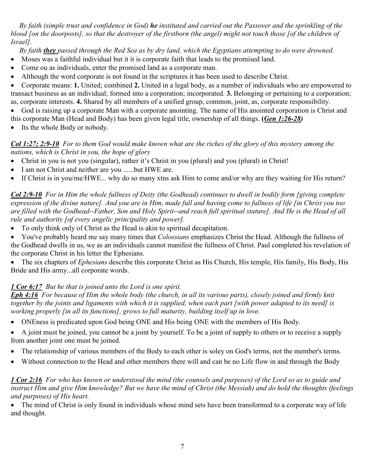*By faith (simple trust and confidence in God) he instituted and carried out the Passover and the sprinkling of the blood [on the doorposts], so that the destroyer of the firstborn (the angel) might not touch those [of the children of Israel].* 

 *By faith they passed through the Red Sea as by dry land, which the Egyptians attempting to do were drowned.* 

- Moses was a faithful individual but it it is corporate faith that leads to the promised land.
- Come ou as individuals, enter the promised land as a corporate man.
- Although the word corporate is not found in the scriptures it has been used to describe Christ.

• Corporate means: **1.** United; combined **2.** United in a legal body, as a number of individuals who are empowered to transact business as an individual; formed into a corporation; incorporated. **3.** Belonging or pertaining to a corporation; as, corporate interests. **4.** Shared by all members of a unified group, common, joint, as, corporate responsibility.

• God is raising up a corporate Man with a corporate anointing. The name of His anointed corporation is Christ and

this corporate Man (Head and Body) has been given legal title, ownership of all things. **(***Gen 1:26-28)*

• Its the whole Body or nobody.

#### *Col 1:27; 2:9-10 For to them God would make known what are the riches of the glory of this mystery among the nations, which is Christ in you, the hope of glory*

- Christ in you is not you (singular), rather it's Christ in you (plural) and you (plural) in Christ!
- I am not Christ and neither are you ......but HWE are.
- If Christ is in you/me/HWE... why do so many xtns ask Him to come and/or why are they waiting for His return?

*Col 2:9-10 For in Him the whole fullness of Deity (the Godhead) continues to dwell in bodily form [giving complete expression of the divine nature]. And you are in Him, made full and having come to fullness of life [in Christ you too are filled with the Godhead--Father, Son and Holy Spirit--and reach full spiritual stature]. And He is the Head of all rule and authority [of every angelic principality and power].* 

• To only think only of Christ as the Head is akin to spiritual decapitation.

• You've probably heard me say many times that *Colossians* emphasizes Christ the Head. Although the fullness of the Godhead dwells in us, we as an individuals cannot manifest the fullness of Christ. Paul completed his revelation of the corporate Christ in his letter the Ephesians.

• The six chapters of *Ephesians* describe this corporate Christ as His Church, His temple, His family, His Body, His Bride and His army...all corporate words.

### *1 Cor 6:17 But he that is joined unto the Lord is one spirit.*

*Eph 4:16 For because of Him the whole body (the church, in all its various parts), closely joined and firmly knit together by the joints and ligaments with which it is supplied, when each part [with power adapted to its need] is working properly [in all its functions], grows to full maturity, building itself up in love.* 

• ONEness is predicated upon God being ONE and His being ONE with the members of His Body.

• A joint must be joined, you cannot be a joint by yourself. To be a joint of supply to others or to receive a supply from another joint one must be joined.

- The relationship of various members of the Body to each other is soley on God's terms, not the member's terms.
- Without connection to the Head and other members there will and can be no Life flow in and through the Body

#### *1 Cor 2:16 For who has known or understood the mind (the counsels and purposes) of the Lord so as to guide and instruct Him and give Him knowledge? But we have the mind of Christ (the Messiah) and do hold the thoughts (feelings and purposes) of His heart.*

• The mind of Christ is only found in individuals whose mind sets have been transformed to a corporate way of life and thought.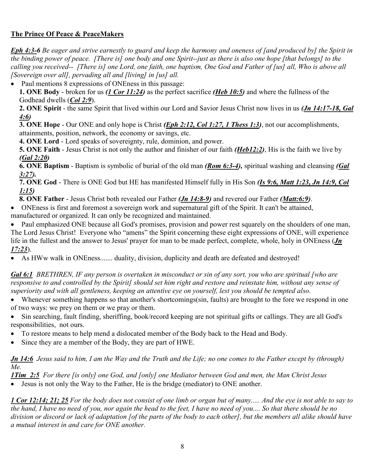### **The Prince Of Peace & PeaceMakers**

*Eph 4:3-6 Be eager and strive earnestly to guard and keep the harmony and oneness of [and produced by] the Spirit in the binding power of peace. [There is] one body and one Spirit--just as there is also one hope [that belongs] to the calling you received-- [There is] one Lord, one faith, one baptism, One God and Father of [us] all, Who is above all [Sovereign over all], pervading all and [living] in [us] all.* 

• Paul mentions 8 expressions of ONEness in this passage:

**1. ONE Body** - broken for us *(1 Cor 11:24)* as the perfect sacrifice *(Heb 10:5)* and where the fullness of the Godhead dwells (*Col 2:9*).

**2. ONE Spirit** - the same Spirit that lived within our Lord and Savior Jesus Christ now lives in us *(Jn 14:17-18, Gal 4:6)* 

**3. ONE Hope** - Our ONE and only hope is Christ *(Eph 2:12, Col 1:27, 1 Thess 1:3)*, not our accomplishments, attainments, position, network, the economy or savings, etc.

**4. ONE Lord** - Lord speaks of sovereignty, rule, dominion, and power.

**5. ONE Faith** - Jesus Christ is not only the author and finisher of our faith *(Heb12:2)*, His is the faith we live by *(Gal 2:20)* 

**6. ONE Baptism** - Baptism is symbolic of burial of the old man *(Rom 6:3-4),* spiritual washing and cleansing *(Gal 3:27).* 

**7. ONE God** - There is ONE God but HE has manifested Himself fully in His Son *(Is 9:6, Matt 1:23, Jn 14:9, Col 1:15)* 

**8. ONE Father** - Jesus Christ both revealed our Father *(Jn 14:8-9)* and revered our Father *(Matt:6:9)*.

• ONEness is first and foremost a sovereign work and supernatural gift of the Spirit. It can't be attained, manufactured or organized. It can only be recognized and maintained.

• Paul emphasized ONE because all God's promises, provision and power rest squarely on the shoulders of one man, The Lord Jesus Christ! Everyone who "amens" the Spirit concerning these eight expressions of ONE, will experience life in the fullest and the answer to Jesus' prayer for man to be made perfect, complete, whole, holy in ONEness (*Jn 17:23*).

• As HWw walk in ONEness....... duality, division, duplicity and death are defeated and destroyed!

*Gal 6:1 BRETHREN, IF any person is overtaken in misconduct or sin of any sort, you who are spiritual [who are responsive to and controlled by the Spirit] should set him right and restore and reinstate him, without any sense of superiority and with all gentleness, keeping an attentive eye on yourself, lest you should be tempted also.* 

- Whenever something happens so that another's shortcomings(sin, faults) are brought to the fore we respond in one of two ways: we prey on them or we pray or them.
- Sin searching, fault finding, sheriffing, book/record keeping are not spiritual gifts or callings. They are all God's responsibilities, not ours.
- To restore means to help mend a dislocated member of the Body back to the Head and Body.
- Since they are a member of the Body, they are part of HWE.

*Jn 14:6 Jesus said to him, I am the Way and the Truth and the Life; no one comes to the Father except by (through) Me.* 

*1Tim\_2:5 For there [is only] one God, and [only] one Mediator between God and men, the Man Christ Jesus*  • Jesus is not only the Way to the Father, He is the bridge (mediator) to ONE another.

*1 Cor 12:14; 21; 25 For the body does not consist of one limb or organ but of many..... And the eye is not able to say to the hand, I have no need of you, nor again the head to the feet, I have no need of you.... So that there should be no division or discord or lack of adaptation [of the parts of the body to each other], but the members all alike should have a mutual interest in and care for ONE another.*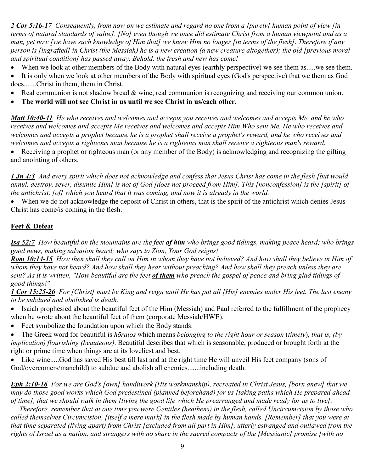*2 Cor 5:16-17 Consequently, from now on we estimate and regard no one from a [purely] human point of view [in terms of natural standards of value]. [No] even though we once did estimate Christ from a human viewpoint and as a man, yet now [we have such knowledge of Him that] we know Him no longer [in terms of the flesh]. Therefore if any person is [ingrafted] in Christ (the Messiah) he is a new creation (a new creature altogether); the old [previous moral and spiritual condition] has passed away. Behold, the fresh and new has come!* 

- When we look at other members of the Body with natural eyes (earthly perspective) we see them as.....we see them.
- It is only when we look at other members of the Body with spiritual eyes (God's perspective) that we them as God does.......Christ in them, them in Christ.
- Real communion is not shadow bread & wine, real communion is recognizing and receiving our common union.
- **The world will not see Christ in us until we see Christ in us/each other**.

*Matt 10:40-41 He who receives and welcomes and accepts you receives and welcomes and accepts Me, and he who receives and welcomes and accepts Me receives and welcomes and accepts Him Who sent Me. He who receives and*  welcomes and accepts a prophet because he is a prophet shall receive a prophet's reward, and he who receives and *welcomes and accepts a righteous man because he is a righteous man shall receive a righteous man's reward.* 

• Receiving a prophet or righteous man (or any member of the Body) is acknowledging and recognizing the gifting and anointing of others.

*1 Jn 4:3 And every spirit which does not acknowledge and confess that Jesus Christ has come in the flesh [but would annul, destroy, sever, disunite Him] is not of God [does not proceed from Him]. This [nonconfession] is the [spirit] of the antichrist, [of] which you heard that it was coming, and now it is already in the world.* 

• When we do not acknowledge the deposit of Christ in others, that is the spirit of the antichrist which denies Jesus Christ has come/is coming in the flesh.

#### **Feet & Defeat**

*Isa 52:7 How beautiful on the mountains are the feet of him who brings good tidings, making peace heard; who brings good news, making salvation heard; who says to Zion, Your God reigns!* 

*Rom 10:14-15 How then shall they call on Him in whom they have not believed? And how shall they believe in Him of whom they have not heard? And how shall they hear without preaching? And how shall they preach unless they are sent? As it is written, "How beautiful are the feet of them who preach the gospel of peace and bring glad tidings of good things!"* 

*1 Cor 15:25-26 For [Christ] must be King and reign until He has put all [His] enemies under His feet. The last enemy to be subdued and abolished is death.* 

- Isaiah prophesied about the beautiful feet of the Him (Messiah) and Paul referred to the fulfillment of the prophecy when he wrote about the beautiful feet of them (corporate Messiah/HWE).
- Feet symbolize the foundation upon which the Body stands.
- The Greek word for beautiful is *hōraios* which means *belonging to the right hour or season* (*timely*), *that is, (by implication) flourishing (beauteous)*. Beautiful describes that which is seasonable, produced or brought forth at the right or prime time when things are at its loveliest and best.
- Like wine.....God has saved His best till last and at the right time He will unveil His feet company (sons of God/overcomers/manchild) to subdue and abolish all enemies.......including death.

*Eph 2:10-16 For we are God's [own] handiwork (His workmanship), recreated in Christ Jesus, [born anew] that we may do those good works which God predestined (planned beforehand) for us [taking paths which He prepared ahead of time], that we should walk in them [living the good life which He prearranged and made ready for us to live].* 

 *Therefore, remember that at one time you were Gentiles (heathens) in the flesh, called Uncircumcision by those who called themselves Circumcision, [itself a mere mark] in the flesh made by human hands. [Remember] that you were at that time separated (living apart) from Christ [excluded from all part in Him], utterly estranged and outlawed from the rights of Israel as a nation, and strangers with no share in the sacred compacts of the [Messianic] promise [with no*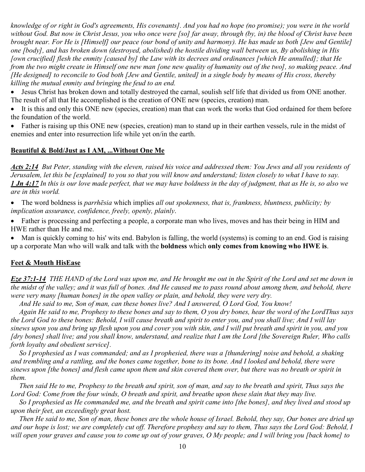*knowledge of or right in God's agreements, His covenants]. And you had no hope (no promise); you were in the world without God. But now in Christ Jesus, you who once were [so] far away, through (by, in) the blood of Christ have been brought near. For He is [Himself] our peace (our bond of unity and harmony). He has made us both [Jew and Gentile] one [body], and has broken down (destroyed, abolished) the hostile dividing wall between us, By abolishing in His [own crucified] flesh the enmity [caused by] the Law with its decrees and ordinances [which He annulled]; that He from the two might create in Himself one new man [one new quality of humanity out of the two], so making peace. And [He designed] to reconcile to God both [Jew and Gentile, united] in a single body by means of His cross, thereby killing the mutual enmity and bringing the feud to an end.* 

• Jesus Christ has broken down and totally destroyed the carnal, soulish self life that divided us from ONE another. The result of all that He accomplished is the creation of ONE new (species, creation) man.

• It is this and only this ONE new (species, creation) man that can work the works that God ordained for them before the foundation of the world.

• Father is raising up this ONE new (species, creation) man to stand up in their earthen vessels, rule in the midst of enemies and enter into resurrection life while yet on/in the earth.

#### **Beautiful & Bold/Just as I AM, ...Without One Me**

*Acts 2:14 But Peter, standing with the eleven, raised his voice and addressed them: You Jews and all you residents of Jerusalem, let this be [explained] to you so that you will know and understand; listen closely to what I have to say. 1 Jn 4:17 In this is our love made perfect, that we may have boldness in the day of judgment, that as He is, so also we are in this world.* 

• The word boldness is *parrhēsia* which implies *all out spokenness, that is, frankness, bluntness, publicity; by implication assurance, confidence, freely, openly, plainly*.

• Father is processing and perfecting a people, a corporate man who lives, moves and has their being in HIM and HWE rather than He and me.

• Man is quickly coming to his' wits end. Babylon is falling, the world (systems) is coming to an end. God is raising up a corporate Man who will walk and talk with the **boldness** which **only comes from knowing who HWE is**.

#### **Feet & Mouth HisEase**

*Eze 37:1-14 THE HAND of the Lord was upon me, and He brought me out in the Spirit of the Lord and set me down in the midst of the valley; and it was full of bones. And He caused me to pass round about among them, and behold, there were very many [human bones] in the open valley or plain, and behold, they were very dry.* 

 *And He said to me, Son of man, can these bones live? And I answered, O Lord God, You know!* 

 *Again He said to me, Prophesy to these bones and say to them, O you dry bones, hear the word of the LordThus says the Lord God to these bones: Behold, I will cause breath and spirit to enter you, and you shall live; And I will lay sinews upon you and bring up flesh upon you and cover you with skin, and I will put breath and spirit in you, and you [dry bones] shall live; and you shall know, understand, and realize that I am the Lord [the Sovereign Ruler, Who calls forth loyalty and obedient service].* 

 *So I prophesied as I was commanded; and as I prophesied, there was a [thundering] noise and behold, a shaking and trembling and a rattling, and the bones came together, bone to its bone. And I looked and behold, there were sinews upon [the bones] and flesh came upon them and skin covered them over, but there was no breath or spirit in them.* 

 *Then said He to me, Prophesy to the breath and spirit, son of man, and say to the breath and spirit, Thus says the Lord God: Come from the four winds, O breath and spirit, and breathe upon these slain that they may live.* 

 *So I prophesied as He commanded me, and the breath and spirit came into [the bones], and they lived and stood up upon their feet, an exceedingly great host.* 

 *Then He said to me, Son of man, these bones are the whole house of Israel. Behold, they say, Our bones are dried up and our hope is lost; we are completely cut off. Therefore prophesy and say to them, Thus says the Lord God: Behold, I will open your graves and cause you to come up out of your graves, O My people; and I will bring you [back home] to*